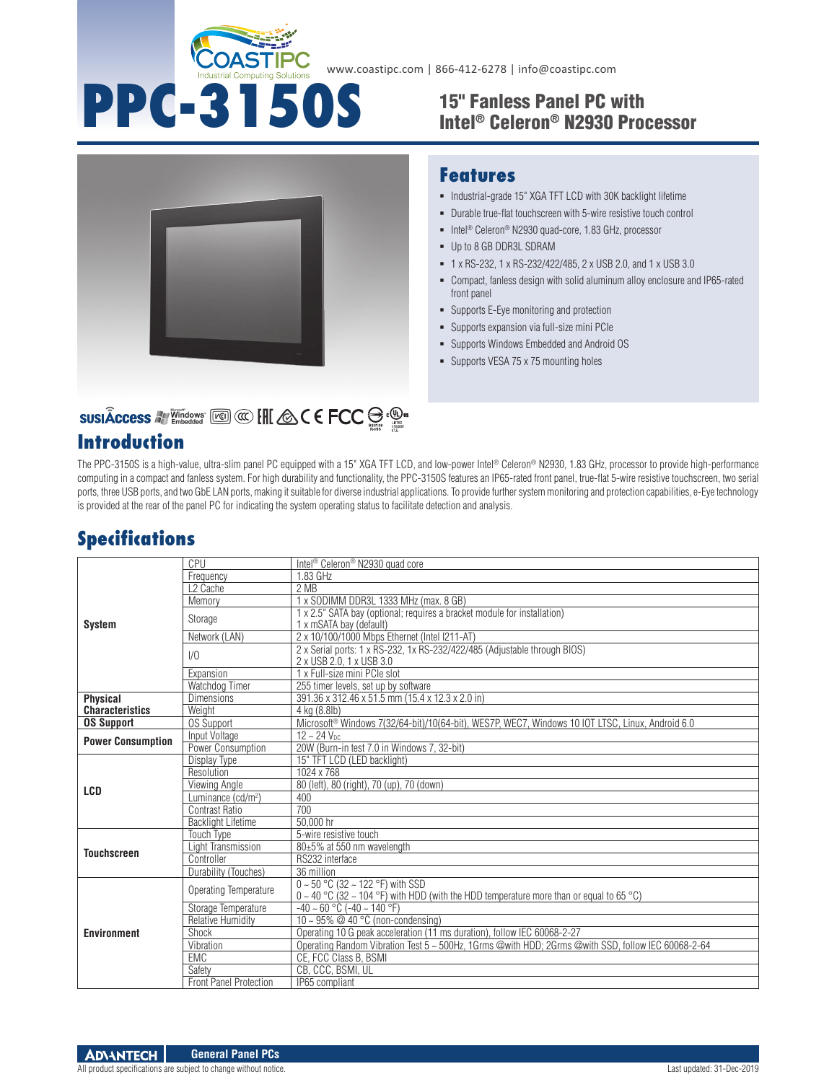

# **PPC-3150S** 15" Fanless Panel PC with Intel® Celeron® N2930 Processor



#### **Features**

- $\blacksquare$  Industrial-grade 15" XGA TFT LCD with 30K backlight lifetime
- Durable true-flat touchscreen with 5-wire resistive touch control
- Intel<sup>®</sup> Celeron<sup>®</sup> N2930 quad-core, 1.83 GHz, processor
- Up to 8 GB DDR3L SDRAM
- 1 x RS-232, 1 x RS-232/422/485, 2 x USB 2.0, and 1 x USB 3.0
- Compact, fanless design with solid aluminum alloy enclosure and IP65-rated front panel
- Supports E-Eye monitoring and protection
- Supports expansion via full-size mini PCIe
- Supports Windows Embedded and Android OS
- **Supports VESA 75 x 75 mounting holes**

# SUSIÂCCESS A Vindows [60] @ [H & C E FCC S . @ .

## **Introduction**

The PPC-3150S is a high-value, ultra-slim panel PC equipped with a 15" XGA TFT LCD, and low-power Intel® Celeron® N2930, 1.83 GHz, processor to provide high-performance computing in a compact and fanless system. For high durability and functionality, the PPC-3150S features an IP65-rated front panel, true-flat 5-wire resistive touchscreen, two serial ports, three USB ports, and two GbE LAN ports, making it suitable for diverse industrial applications. To provide further system monitoring and protection capabilities, e-Eye technology is provided at the rear of the panel PC for indicating the system operating status to facilitate detection and analysis.

## **Specifications**

|                                           | CPU                            | Intel <sup>®</sup> Celeron <sup>®</sup> N2930 quad core                                                                                      |
|-------------------------------------------|--------------------------------|----------------------------------------------------------------------------------------------------------------------------------------------|
| <b>System</b>                             |                                | 1.83 GHz                                                                                                                                     |
|                                           | Frequency                      |                                                                                                                                              |
|                                           | L <sub>2</sub> Cache           | 2 MB                                                                                                                                         |
|                                           | Memory                         | 1 x SODIMM DDR3L 1333 MHz (max. 8 GB)                                                                                                        |
|                                           | Storage                        | 1 x 2.5" SATA bay (optional; requires a bracket module for installation)<br>1 x mSATA bay (default)                                          |
|                                           | Network (LAN)                  | 2 x 10/100/1000 Mbps Ethernet (Intel I211-AT)                                                                                                |
|                                           | 1/0                            | 2 x Serial ports: 1 x RS-232, 1x RS-232/422/485 (Adjustable through BIOS)<br>2 x USB 2.0, 1 x USB 3.0                                        |
|                                           | Expansion                      | 1 x Full-size mini PCIe slot                                                                                                                 |
|                                           | Watchdog Timer                 | 255 timer levels, set up by software                                                                                                         |
| <b>Physical</b><br><b>Characteristics</b> | <b>Dimensions</b>              | 391.36 x 312.46 x 51.5 mm (15.4 x 12.3 x 2.0 in)                                                                                             |
|                                           | Weight                         | 4 kg (8.8lb)                                                                                                                                 |
| <b>OS Support</b>                         | <b>OS Support</b>              | Microsoft® Windows 7(32/64-bit)/10(64-bit), WES7P, WEC7, Windows 10 IOT LTSC, Linux, Android 6.0                                             |
| <b>Power Consumption</b>                  | Input Voltage                  | $12 - 24$ V <sub>DC</sub>                                                                                                                    |
|                                           | Power Consumption              | 20W (Burn-in test 7.0 in Windows 7, 32-bit)                                                                                                  |
| LCD                                       | Display Type                   | 15" TFT LCD (LED backlight)                                                                                                                  |
|                                           | Resolution                     | 1024 x 768                                                                                                                                   |
|                                           | Viewing Angle                  | 80 (left), 80 (right), 70 (up), 70 (down)                                                                                                    |
|                                           | Luminance (cd/m <sup>2</sup> ) | 400                                                                                                                                          |
|                                           | Contrast Ratio                 | 700                                                                                                                                          |
|                                           | <b>Backlight Lifetime</b>      | 50.000 hr                                                                                                                                    |
| <b>Touchscreen</b>                        | <b>Touch Type</b>              | 5-wire resistive touch                                                                                                                       |
|                                           | Light Transmission             | 80±5% at 550 nm wavelength                                                                                                                   |
|                                           | Controller                     | RS232 interface                                                                                                                              |
|                                           | Durability (Touches)           | 36 million                                                                                                                                   |
| <b>Environment</b>                        | Operating Temperature          | $0 \sim 50^{\circ}$ C (32 ~ 122 °F) with SSD<br>$0 \sim 40$ °C (32 ~ 104 °F) with HDD (with the HDD temperature more than or equal to 65 °C) |
|                                           | Storage Temperature            | $-40 \sim 60$ °C ( $-40 \sim 140$ °F)                                                                                                        |
|                                           | <b>Relative Humidity</b>       | 10 ~ 95% @ 40 °C (non-condensing)                                                                                                            |
|                                           | Shock                          | Operating 10 G peak acceleration (11 ms duration), follow IEC 60068-2-27                                                                     |
|                                           | Vibration                      | Operating Random Vibration Test 5 ~ 500Hz, 1Grms @with HDD; 2Grms @with SSD, follow IEC 60068-2-64                                           |
|                                           | <b>EMC</b>                     |                                                                                                                                              |
|                                           |                                | CE, FCC Class B, BSMI                                                                                                                        |
|                                           | Safety                         | CB, CCC, BSMI, UL                                                                                                                            |
|                                           | <b>Front Panel Protection</b>  | IP65 compliant                                                                                                                               |